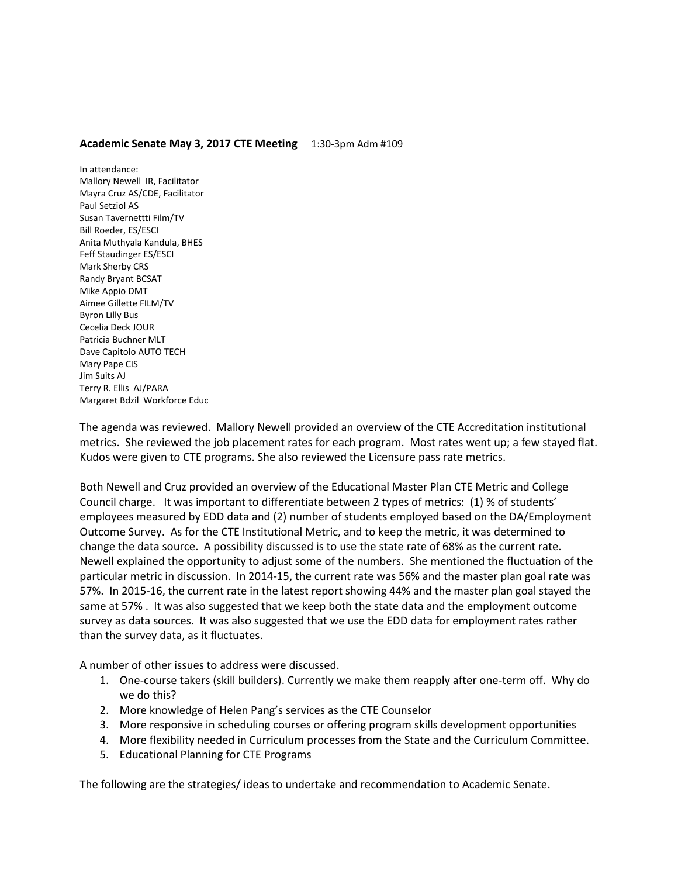## **Academic Senate May 3, 2017 CTE Meeting** 1:30-3pm Adm #109

In attendance: Mallory Newell IR, Facilitator Mayra Cruz AS/CDE, Facilitator Paul Setziol AS Susan Tavernettti Film/TV Bill Roeder, ES/ESCI Anita Muthyala Kandula, BHES Feff Staudinger ES/ESCI Mark Sherby CRS Randy Bryant BCSAT Mike Appio DMT Aimee Gillette FILM/TV Byron Lilly Bus Cecelia Deck JOUR Patricia Buchner MLT Dave Capitolo AUTO TECH Mary Pape CIS Jim Suits AJ Terry R. Ellis AJ/PARA Margaret Bdzil Workforce Educ

The agenda was reviewed. Mallory Newell provided an overview of the CTE Accreditation institutional metrics. She reviewed the job placement rates for each program. Most rates went up; a few stayed flat. Kudos were given to CTE programs. She also reviewed the Licensure pass rate metrics.

Both Newell and Cruz provided an overview of the Educational Master Plan CTE Metric and College Council charge. It was important to differentiate between 2 types of metrics: (1) % of students' employees measured by EDD data and (2) number of students employed based on the DA/Employment Outcome Survey. As for the CTE Institutional Metric, and to keep the metric, it was determined to change the data source. A possibility discussed is to use the state rate of 68% as the current rate. Newell explained the opportunity to adjust some of the numbers. She mentioned the fluctuation of the particular metric in discussion. In 2014-15, the current rate was 56% and the master plan goal rate was 57%. In 2015-16, the current rate in the latest report showing 44% and the master plan goal stayed the same at 57% . It was also suggested that we keep both the state data and the employment outcome survey as data sources. It was also suggested that we use the EDD data for employment rates rather than the survey data, as it fluctuates.

A number of other issues to address were discussed.

- 1. One-course takers (skill builders). Currently we make them reapply after one-term off. Why do we do this?
- 2. More knowledge of Helen Pang's services as the CTE Counselor
- 3. More responsive in scheduling courses or offering program skills development opportunities
- 4. More flexibility needed in Curriculum processes from the State and the Curriculum Committee.
- 5. Educational Planning for CTE Programs

The following are the strategies/ ideas to undertake and recommendation to Academic Senate.